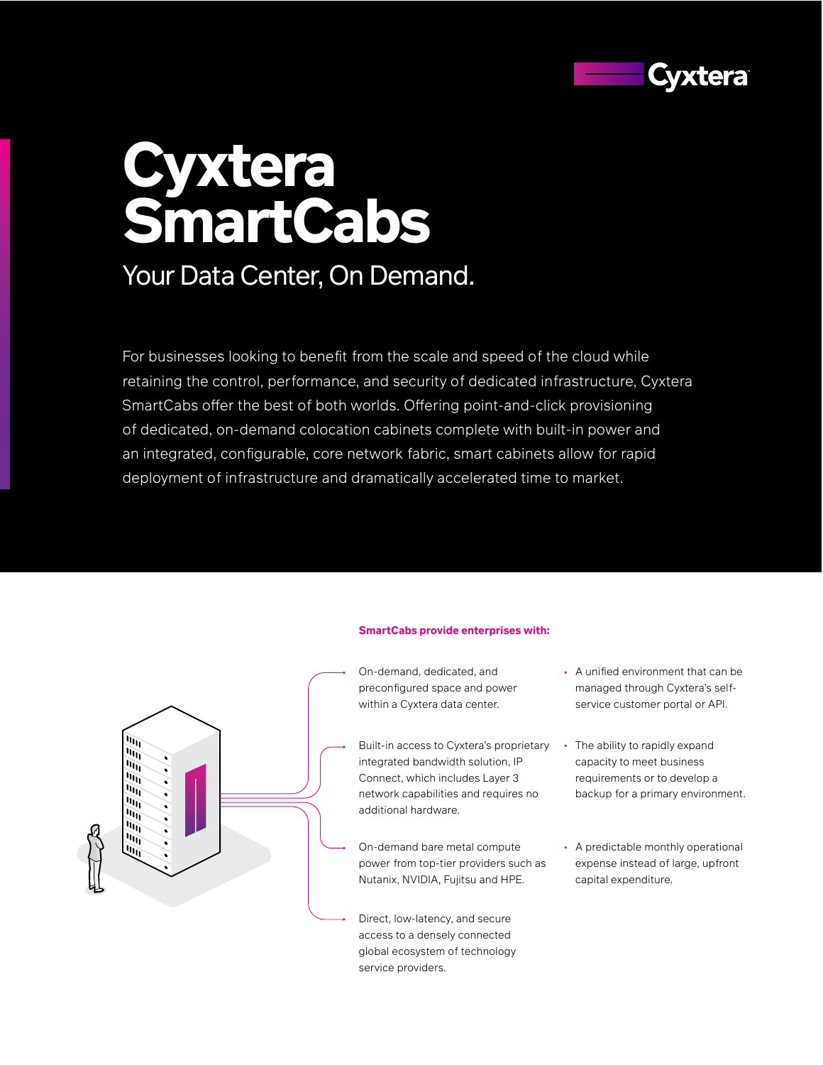

# **Cyxtera SmartCabs**

# Your Data Center, On Demand.

For businesses looking to benefit from the scale and speed of the cloud while retaining the control, performance, and security of dedicated infrastructure, Cyxtera SmartCabs offer the best of both worlds. Offering point-and-click provisioning of dedicated, on-demand colocation cabinets complete with built-in power and an integrated, configurable, core network fabric, smart cabinets allow for rapid deployment of infrastructure and dramatically accelerated time to market.





On-demand, dedicated, and preconfigured space and power within a Cyxtera data center.

- Built-in access to Cyxtera's proprietary integrated bandwidth solution, IP Connect, which includes Layer 3 network capabilities and requires no additional hardware.
- On-demand bare metal compute power from top-tier providers such as Nutanix, NVIDIA, Fujitsu and HPE.

Direct, low-latency, and secure access to a densely connected global ecosystem of technology service providers.

- A unified environment that can be managed through Cyxtera's selfservice customer portal or API.
- The ability to rapidly expand capacity to meet business requirements or to develop a backup for a primary environment.
- A predictable monthly operational expense instead of large, upfront capital expenditure.